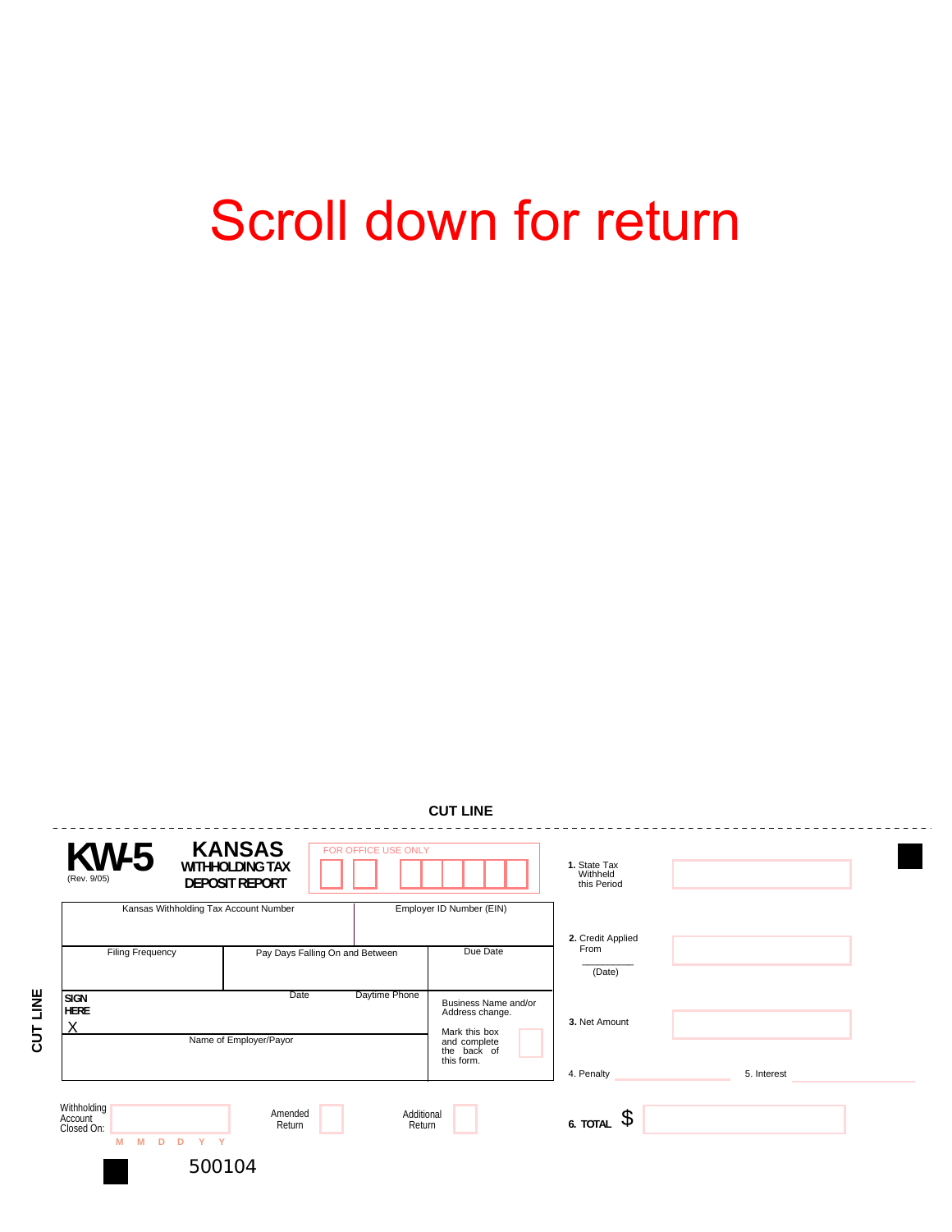## Scroll down for return

| (Rev. 9/05)                          | <b>KANSAS</b><br>$KW-5$<br>FOR OFFICE USE ONLY<br><b>WITHHOLDING TAX</b><br><b>DEPOSIT REPORT</b> |        |                                 |                                                                                                       | 1. State Tax<br>Withheld<br>this Period |             |
|--------------------------------------|---------------------------------------------------------------------------------------------------|--------|---------------------------------|-------------------------------------------------------------------------------------------------------|-----------------------------------------|-------------|
|                                      | Kansas Withholding Tax Account Number                                                             |        |                                 | Employer ID Number (EIN)                                                                              |                                         |             |
| <b>Filing Frequency</b>              |                                                                                                   |        | Pay Days Falling On and Between |                                                                                                       | 2. Credit Applied<br>From<br>(Date)     |             |
| <b>SIGN</b><br><b>HERE</b><br>X      | Daytime Phone<br>Date<br>Name of Employer/Payor                                                   |        |                                 | Business Name and/or<br>Address change.<br>Mark this box<br>and complete<br>the back of<br>this form. | 3. Net Amount                           |             |
|                                      |                                                                                                   |        |                                 |                                                                                                       | 4. Penalty                              | 5. Interest |
| Withholding<br>Account<br>Closed On: | Amended<br>Additional<br>Return<br>Return<br>Y Y<br>M<br>M<br>D <sub>D</sub>                      |        |                                 |                                                                                                       | $6.$ TOTAL $\sqrt{5}$                   |             |
|                                      |                                                                                                   | 500104 |                                 |                                                                                                       |                                         |             |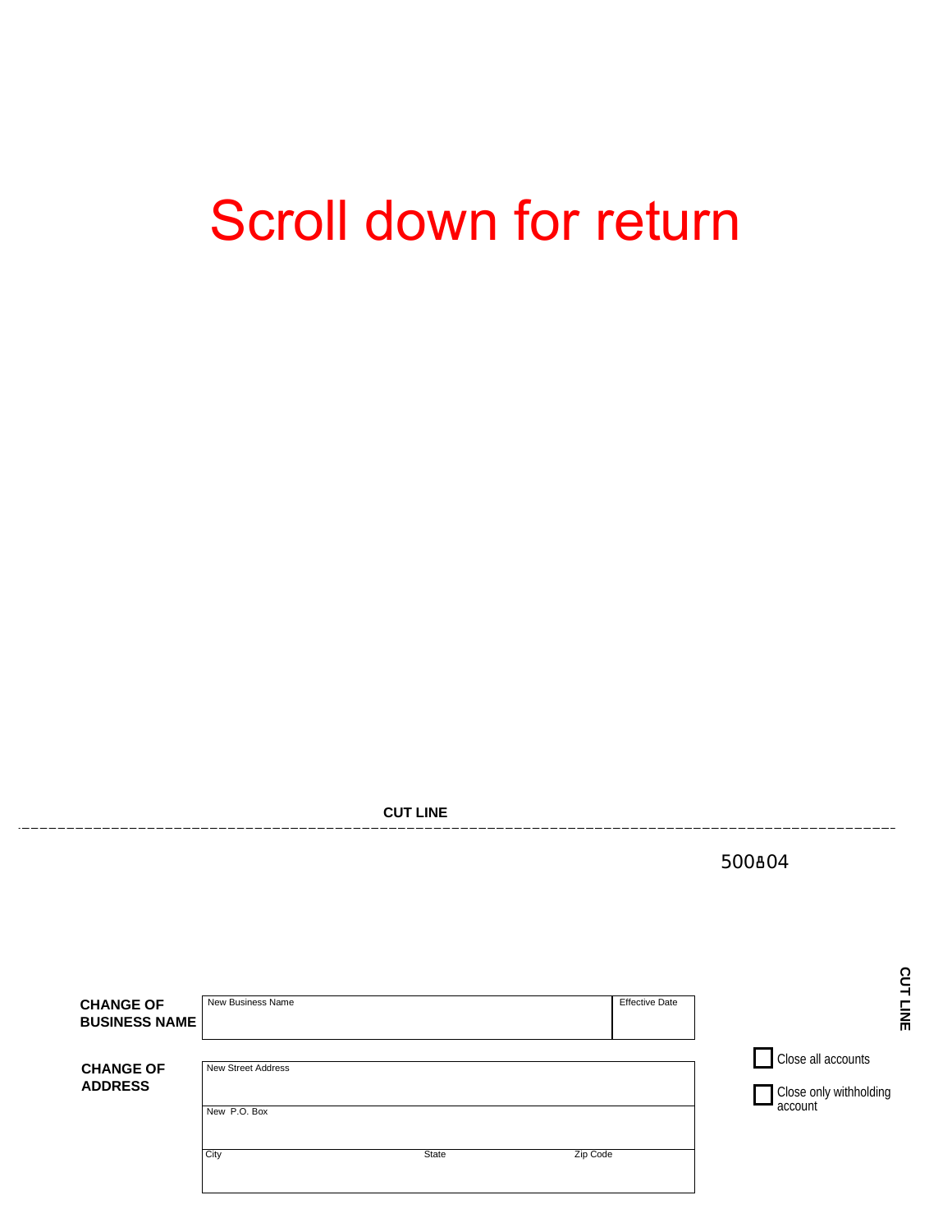## Scroll down for return

**CUT LINE**  500804CUT LINE **CUT LINE**  New Business Name **Effective Date CHANGE OF BUSINESS NAME CHANGE OF** New Street Address **CHANGE OF** Close all accounts New Street Address **ADDRESS** and the close only withholding the close only withholding account New P.O. Box City and the City State State State State State State State State State State State State State State State State State State State State State State State State State State State State State State State State State State